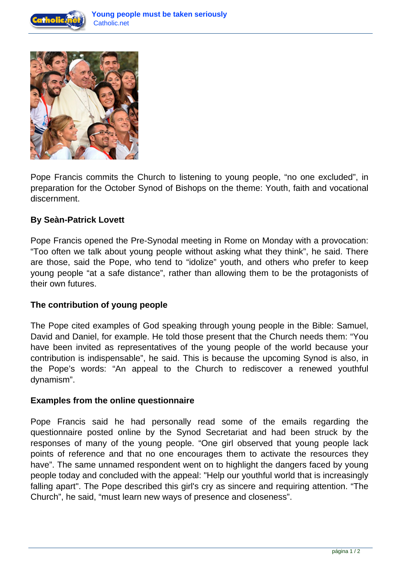



Pope Francis commits the Church to listening to young people, "no one excluded", in preparation for the October Synod of Bishops on the theme: Youth, faith and vocational discernment.

## **By Seàn-Patrick Lovett**

Pope Francis opened the Pre-Synodal meeting in Rome on Monday with a provocation: "Too often we talk about young people without asking what they think", he said. There are those, said the Pope, who tend to "idolize" youth, and others who prefer to keep young people "at a safe distance", rather than allowing them to be the protagonists of their own futures.

## **The contribution of young people**

The Pope cited examples of God speaking through young people in the Bible: Samuel, David and Daniel, for example. He told those present that the Church needs them: "You have been invited as representatives of the young people of the world because your contribution is indispensable", he said. This is because the upcoming Synod is also, in the Pope's words: "An appeal to the Church to rediscover a renewed youthful dynamism".

## **Examples from the online questionnaire**

Pope Francis said he had personally read some of the emails regarding the questionnaire posted online by the Synod Secretariat and had been struck by the responses of many of the young people. "One girl observed that young people lack points of reference and that no one encourages them to activate the resources they have". The same unnamed respondent went on to highlight the dangers faced by young people today and concluded with the appeal: "Help our youthful world that is increasingly falling apart". The Pope described this girl's cry as sincere and requiring attention. "The Church", he said, "must learn new ways of presence and closeness".